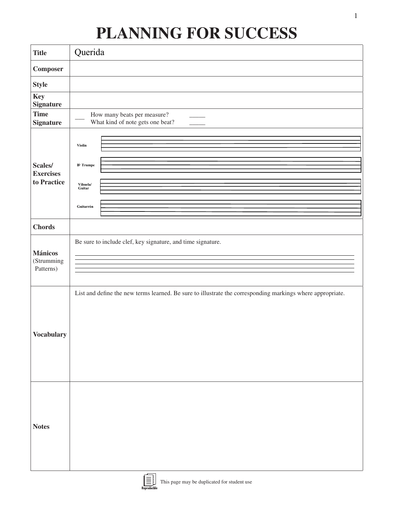# **PLANNING FOR SUCCESS**

| <b>Title</b>                               | Querida                                                                                                    |
|--------------------------------------------|------------------------------------------------------------------------------------------------------------|
| Composer                                   |                                                                                                            |
| <b>Style</b>                               |                                                                                                            |
| <b>Key</b><br>Signature                    |                                                                                                            |
| <b>Time</b><br><b>Signature</b>            | How many beats per measure?<br>What kind of note gets one beat?                                            |
| Scales/<br><b>Exercises</b><br>to Practice | <b>Violin</b>                                                                                              |
|                                            | $B^{\flat}$ Trumpe                                                                                         |
|                                            | Vihuela/<br>Guitar                                                                                         |
|                                            | Guitarrón                                                                                                  |
| <b>Chords</b>                              |                                                                                                            |
| <b>Mánicos</b><br>(Strumming<br>Patterns)  | Be sure to include clef, key signature, and time signature.                                                |
| <b>Vocabulary</b>                          | List and define the new terms learned. Be sure to illustrate the corresponding markings where appropriate. |
| <b>Notes</b>                               |                                                                                                            |

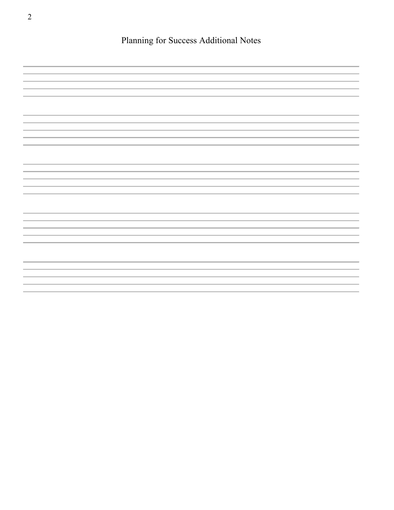| Planning for Success Additional Notes |
|---------------------------------------|
|                                       |
|                                       |
|                                       |
|                                       |
|                                       |
|                                       |
|                                       |
|                                       |
|                                       |
|                                       |
|                                       |
|                                       |
|                                       |
|                                       |
|                                       |
|                                       |
|                                       |
|                                       |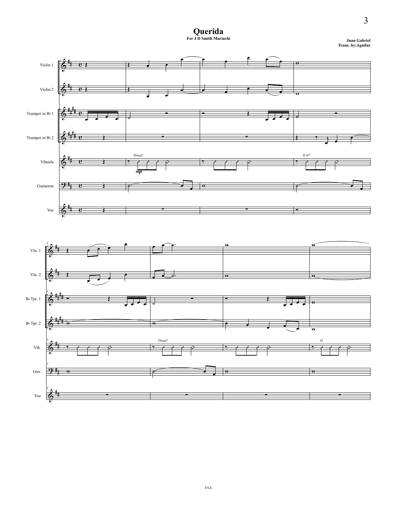#### **Querida**

**For J D Smith Mariachi Juan Gabriel Trans. by:Aguilar**

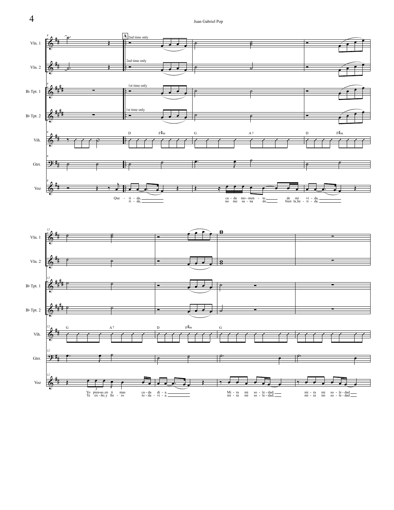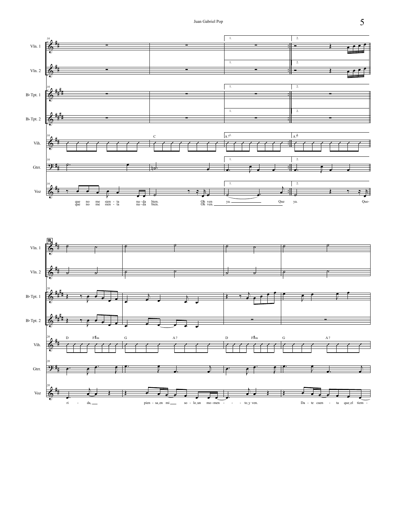

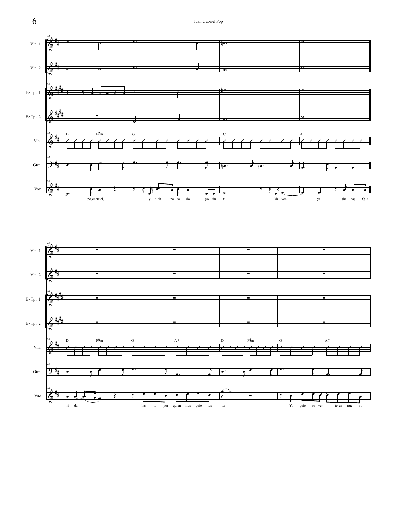



tu.

has - lo por quien mas quie - ras

Yo quie - ro ver - te<sub>c</sub>en nue - vo - da, \_\_\_\_\_\_\_\_\_\_\_\_ has - lo por quien mas quie - ras tu. \_\_\_\_ contract the contract of the mue - telem nue

Ī

ri - da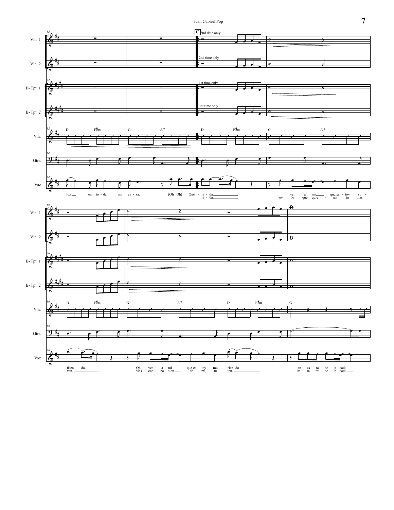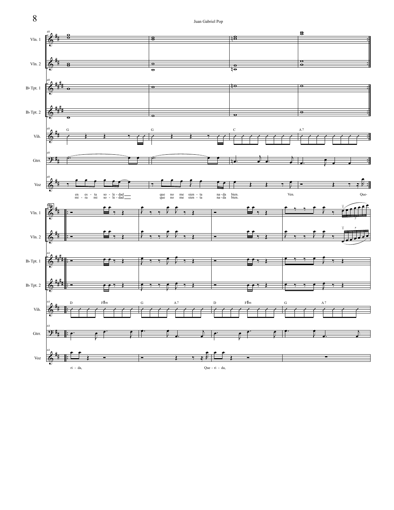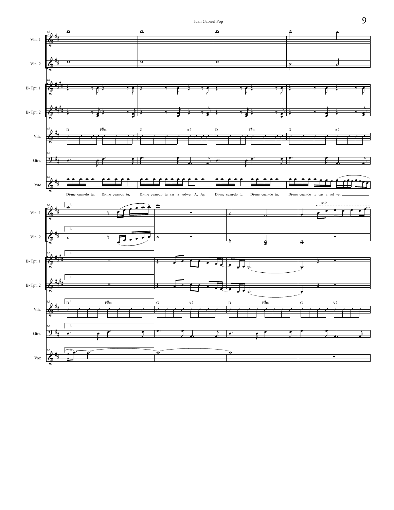Juan Gabriel Pop 9 <sup>7</sup>

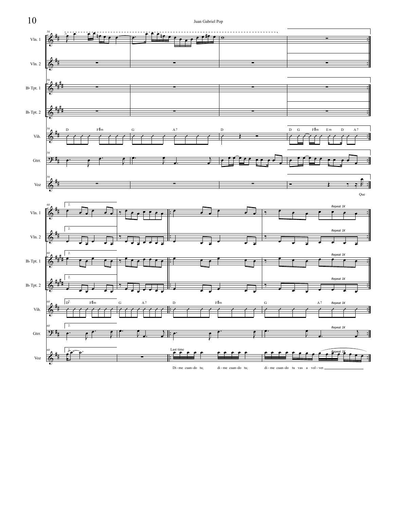

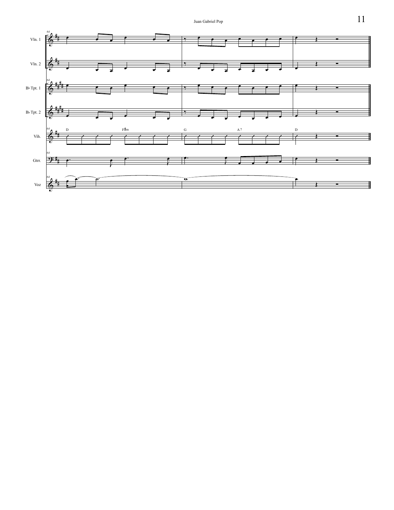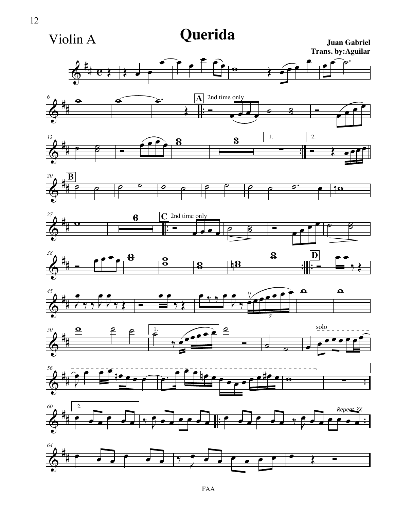Violin A

# **Querida Juan Gabriel**





















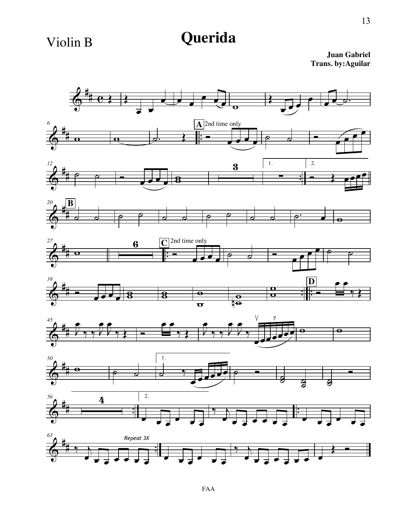#### Violin B

### **Querida**

**Juan Gabriel Trans. by:Aguilar**

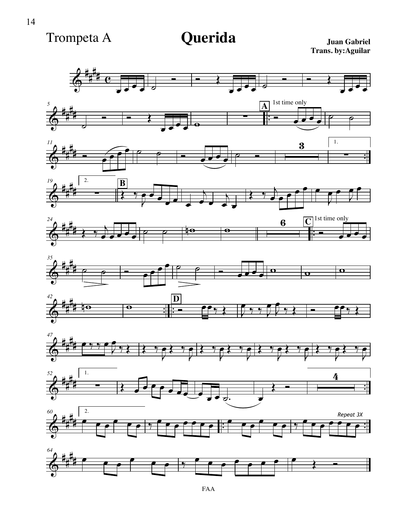14

**Querida Juan Gabriel**

![](_page_13_Figure_3.jpeg)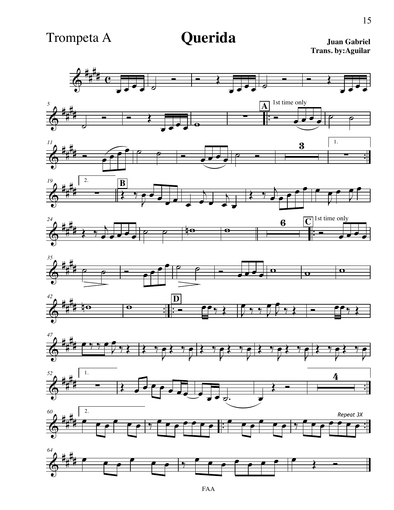### **Querida Juan Gabriel**

![](_page_14_Figure_3.jpeg)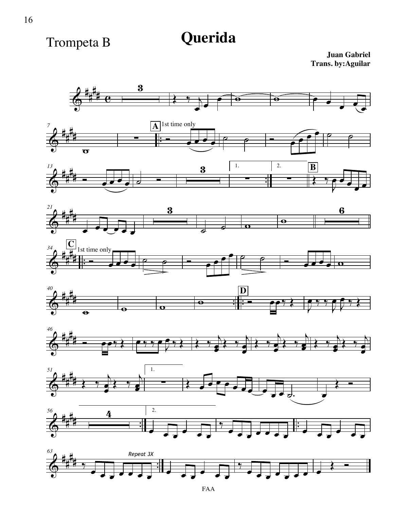### Trompeta B

**Querida**

**Juan Gabriel Trans. by:Aguilar**

![](_page_15_Figure_3.jpeg)

16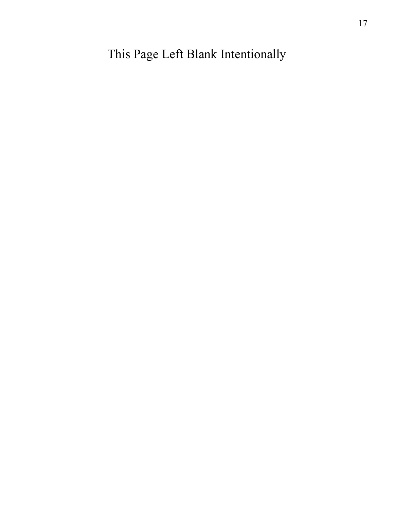# This Page Left Blank Intentionally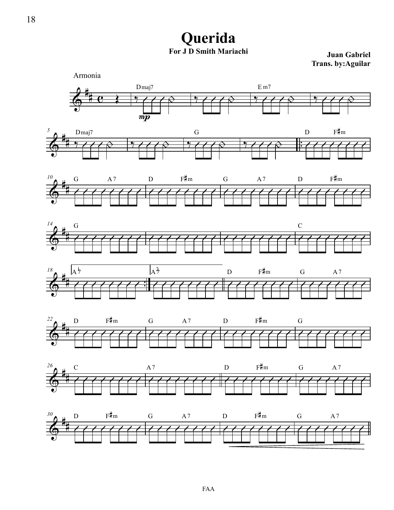**Querida**

#### **For J D Smith Mariachi Juan Gabriel**

![](_page_17_Figure_3.jpeg)

![](_page_17_Figure_4.jpeg)

![](_page_17_Figure_5.jpeg)

![](_page_17_Figure_6.jpeg)

![](_page_17_Figure_7.jpeg)

![](_page_17_Figure_8.jpeg)

![](_page_17_Figure_9.jpeg)

![](_page_17_Figure_10.jpeg)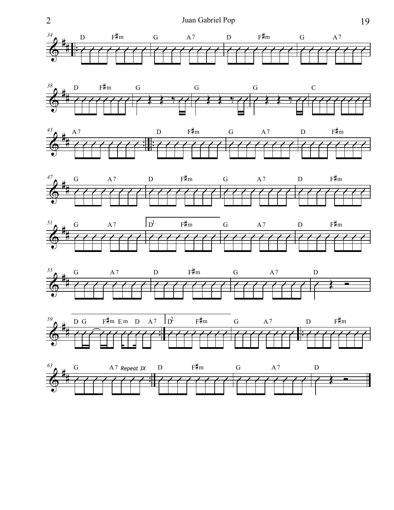![](_page_18_Figure_1.jpeg)

![](_page_18_Figure_2.jpeg)

![](_page_18_Figure_3.jpeg)

![](_page_18_Figure_4.jpeg)

![](_page_18_Figure_5.jpeg)

![](_page_18_Figure_6.jpeg)

![](_page_18_Figure_7.jpeg)

![](_page_18_Figure_8.jpeg)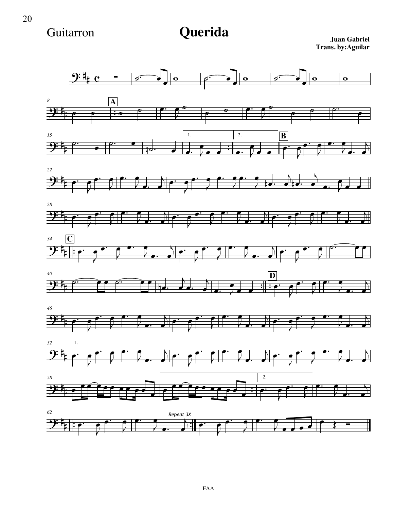#### Guitarron

# **Querida Juan Gabriel**

![](_page_19_Figure_4.jpeg)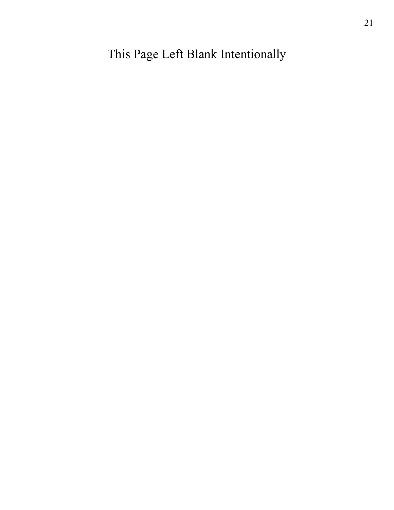## This Page Left Blank Intentionally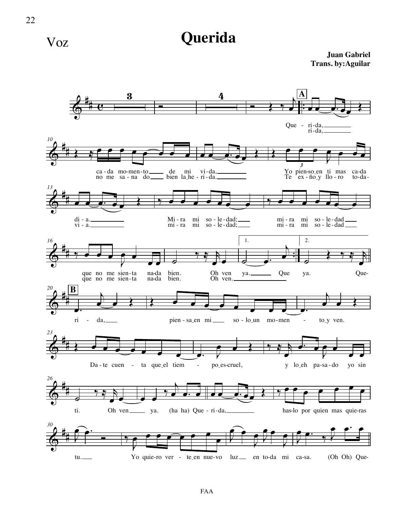Voz

**Querida**

**Juan Gabriel Trans. by:Aguilar**

![](_page_21_Figure_3.jpeg)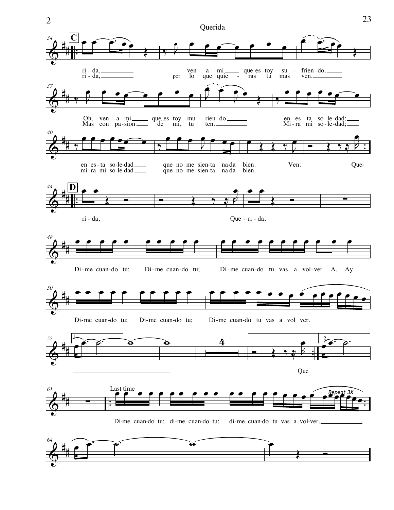![](_page_22_Figure_0.jpeg)

23